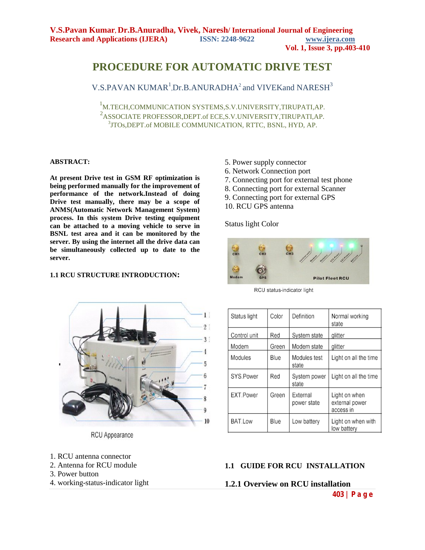# **PROCEDURE FOR AUTOMATIC DRIVE TEST**

V.S.PAVAN KUMAR<sup>1</sup>,Dr.B.ANURADHA<sup>2</sup> and VIVEKand NARESH<sup>3</sup>

1 M.TECH,COMMUNICATION SYSTEMS,S.V.UNIVERSITY,TIRUPATI,AP. 2 ASSOCIATE PROFESSOR,DEPT.of ECE,S.V.UNIVERSITY,TIRUPATI,AP. 3 <sup>3</sup>JTOs, DEPT.of MOBILE COMMUNICATION, RTTC, BSNL, HYD, AP.

#### **ABSTRACT:**

**At present Drive test in GSM RF optimization is being performed manually for the improvement of performance of the network.Instead of doing Drive test manually, there may be a scope of ANMS(Automatic Network Management System) process. In this system Drive testing equipment can be attached to a moving vehicle to serve in BSNL test area and it can be monitored by the server. By using the internet all the drive data can be simultaneously collected up to date to the server.**

#### **1.1 RCU STRUCTURE INTRODUCTION:**

- 5. Power supply connector
- 6. Network Connection port
- 7. Connecting port for external test phone
- 8. Connecting port for external Scanner
- 9. Connecting port for external GPS
- 10. RCU GPS antenna

Status light Color



RCU status-indicator light



RCU Appearance

- 1. RCU antenna connector
- 2. Antenna for RCU module
- 3. Power button
- 4. working-status-indicator light

#### **1.1 GUIDE FOR RCU INSTALLATION**

#### **1.2.1 Overview on RCU installation**

Normal working

Light on all the time

Light on all the time

Light on when

external power access in

low battery

Light on when with

state

alitter

glitter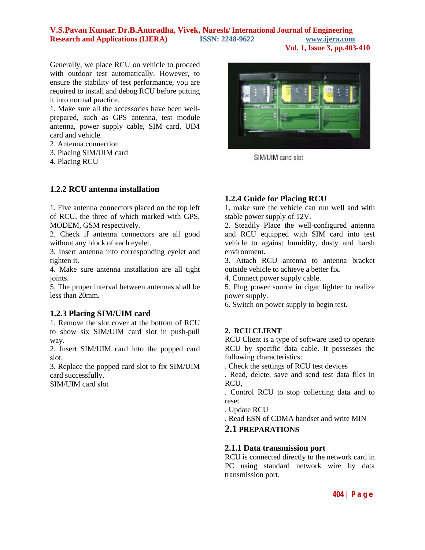**Vol. 1, Issue 3, pp.403-410**

Generally, we place RCU on vehicle to proceed with outdoor test automatically. However, to ensure the stability of test performance, you are required to install and debug RCU before putting it into normal practice.

1. Make sure all the accessories have been wellprepared, such as GPS antenna, test module antenna, power supply cable, SIM card, UIM card and vehicle.

- 2. Antenna connection
- 3. Placing SIM/UIM card
- 4. Placing RCU

## **1.2.2 RCU antenna installation**

1. Five antenna connectors placed on the top left of RCU, the three of which marked with GPS, MODEM, GSM respectively.

2. Check if antenna connectors are all good without any block of each eyelet.

3. Insert antenna into corresponding eyelet and tighten it.

4. Make sure antenna installation are all tight joints.

5. The proper interval between antennas shall be less than 20mm.

## **1.2.3 Placing SIM/UIM card**

1. Remove the slot cover at the bottom of RCU to show six SIM/UIM card slot in push-pull way.

2. Insert SIM/UIM card into the popped card slot.

3. Replace the popped card slot to fix SIM/UIM card successfully.

SIM/UIM card slot



SIM/UIM card slot

## **1.2.4 Guide for Placing RCU**

1. make sure the vehicle can run well and with stable power supply of 12V.

2. Steadily Place the well-configured antenna and RCU equipped with SIM card into test vehicle to against humidity, dusty and harsh environment.

3. Attach RCU antenna to antenna bracket outside vehicle to achieve a better fix.

4. Connect power supply cable.

5. Plug power source in cigar lighter to realize power supply.

6. Switch on power supply to begin test.

## **2. RCU CLIENT**

RCU Client is a type of software used to operate RCU by specific data cable. It possesses the following characteristics:

. Check the settings of RCU test devices

. Read, delete, save and send test data files in RCU,

. Control RCU to stop collecting data and to reset

. Update RCU

. Read ESN of CDMA handset and write MIN

### **2.1 PREPARATIONS**

#### **2.1.1 Data transmission port**

RCU is connected directly to the network card in PC using standard network wire by data transmission port.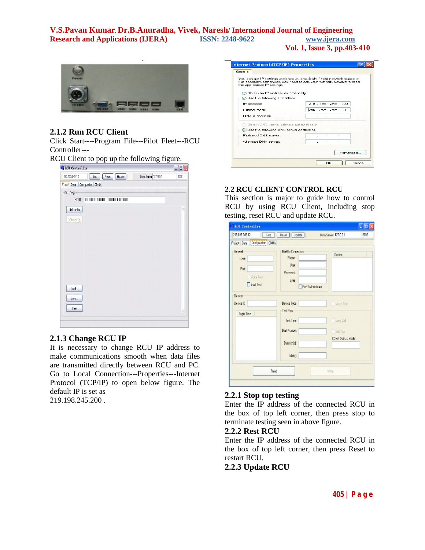

#### **2.1.2 Run RCU Client**

Click Start----Program File---Pilot Fleet---RCU Controller---

RCU Client to pop up the following figure.

| <b>WECT</b> Controller          |                                           |                       | $\Box \Box$ |
|---------------------------------|-------------------------------------------|-----------------------|-------------|
| 219.198.245.12                  | Stop   Reset   Update                     | Data Server 127.0.0.1 | 9002        |
| Project Data Configuration CDMA |                                           |                       |             |
| RCU Project                     |                                           |                       |             |
|                                 | ROU D: 0000000000000000000000000000000000 |                       |             |
| Get config                      |                                           |                       | ó           |
| Write cently                    |                                           |                       |             |
|                                 |                                           |                       |             |
|                                 |                                           |                       |             |
|                                 |                                           |                       |             |
|                                 |                                           |                       |             |
|                                 |                                           |                       |             |
|                                 |                                           |                       |             |
|                                 |                                           |                       |             |
| Load.                           |                                           |                       |             |
| Save                            |                                           |                       |             |
|                                 |                                           |                       |             |
| Dear                            |                                           |                       | Ŵ           |

### **2.1.3 Change RCU IP**

It is necessary to change RCU IP address to make communications smooth when data files are transmitted directly between RCU and PC. Go to Local Connection---Properties---Internet Protocol (TCP/IP) to open below figure. The default IP is set as 219.198.245.200 .

| You can get IP settings assigned automatically if your network supports.<br>this capability. Otherwise, you need to ask your network administrator for |
|--------------------------------------------------------------------------------------------------------------------------------------------------------|
|                                                                                                                                                        |
|                                                                                                                                                        |
|                                                                                                                                                        |
| 219 . 198 . 245 . 200                                                                                                                                  |
| 255.255.255.0                                                                                                                                          |
| Call College College<br>$\sim$                                                                                                                         |
| Obtain DNS server address automaticaly                                                                                                                 |
| · Use the following DNS server addresses:                                                                                                              |
|                                                                                                                                                        |
| ×.<br>$\sim$                                                                                                                                           |
|                                                                                                                                                        |

#### **2.2 RCU CLIENT CONTROL RCU**

This section is major to guide how to control RCU by using RCU Client, including stop testing, reset RCU and update RCU.

| 219.198.245.12<br>Stop                                      | Reset   Update                                                                      | 9002<br>Data Server 127.0.0.1 |
|-------------------------------------------------------------|-------------------------------------------------------------------------------------|-------------------------------|
| Project Data   Configuration   COMA                         |                                                                                     |                               |
| General<br>Host:<br>Port:<br>Voice Test<br><b>Ecot Test</b> | Dial Up Connection<br><b>Phone:</b><br>User:<br>Pawword<br>AFN:<br>PAP Authenticate | Device                        |
| Devices                                                     |                                                                                     |                               |
| Device ID                                                   | Device Type                                                                         | Voice Test                    |
| Begin Time                                                  | Test Plan                                                                           |                               |
|                                                             | Text Time                                                                           | Long Coll                     |
|                                                             | Dial Number                                                                         | Tdle Test                     |
|                                                             | Dwetenlat                                                                           | EDMA Dial-Up Mode:            |
|                                                             | $ d_1(z) $                                                                          |                               |
| Read                                                        |                                                                                     | Wike                          |

### **2.2.1 Stop top testing**

Enter the IP address of the connected RCU in the box of top left corner, then press stop to terminate testing seen in above figure.

## **2.2.2 Rest RCU**

Enter the IP address of the connected RCU in the box of top left corner, then press Reset to restart RCU.

## **2.2.3 Update RCU**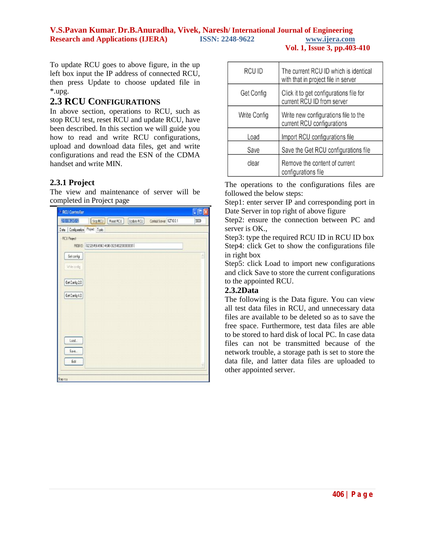To update RCU goes to above figure, in the up left box input the IP address of connected RCU, then press Update to choose updated file in \*.upg.

### **2.3 RCU CONFIGURATIONS**

In above section, operations to RCU, such as stop RCU test, reset RCU and update RCU, have been described. In this section we will guide you how to read and write RCU configurations, upload and download data files, get and write configurations and read the ESN of the CDMA handset and write MIN.

#### **2.3.1 Project**

The view and maintenance of server will be completed in Project page



| RCU ID       | The current RCU ID which is identical<br>with that in project file in server |
|--------------|------------------------------------------------------------------------------|
| Get Config   | Click it to get configurations file for<br>current RCU ID from server        |
| Write Config | Write new configurations file to the<br>current RCU configurations           |
| Load         | Import RCU configurations file                                               |
| Save         | Save the Get RCU configurations file                                         |
| clear        | Remove the content of current<br>configurations file                         |

The operations to the configurations files are followed the below steps:

Step1: enter server IP and corresponding port in Date Server in top right of above figure

Step2: ensure the connection between PC and server is OK.,

Step3: type the required RCU ID in RCU ID box Step4: click Get to show the configurations file in right box

Step5: click Load to import new configurations and click Save to store the current configurations to the appointed RCU.

## **2.3.2Data**

The following is the Data figure. You can view all test data files in RCU, and unnecessary data files are available to be deleted so as to save the free space. Furthermore, test data files are able to be stored to hard disk of local PC. In case data files can not be transmitted because of the network trouble, a storage path is set to store the data file, and latter data files are uploaded to other appointed server.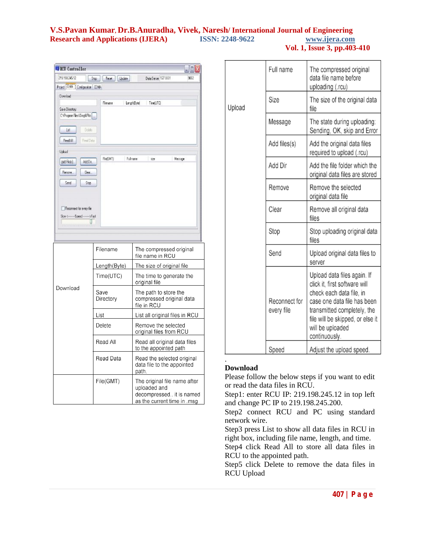| <b>EFRCU</b> Controller                                        |                             |              |               |                                             | $ \Box x$ |
|----------------------------------------------------------------|-----------------------------|--------------|---------------|---------------------------------------------|-----------|
| 219 19 8 245 12                                                | Stop.                       | Reset        | <b>Update</b> | Data Server 127.00.1                        | 9002      |
| Project Data   Configuration   CDMA                            |                             |              |               |                                             |           |
| Download                                                       |                             |              |               |                                             |           |
| Save Directory.<br>C:\Program Files\Dingit/Pilo                |                             | Flenane      | Length[Byte]  | Time(UTC)                                   |           |
| List<br>Read All                                               | Delete<br><b>Fleed Data</b> |              |               |                                             |           |
| Upload                                                         |                             |              |               |                                             |           |
| Add Fileks).                                                   | AddDit.                     | FielGMT)     | Fullmane      | size                                        | Newage    |
| Remove.<br>Send                                                | Dee.<br>Stop                |              |               |                                             |           |
| Reconnect for every file<br>Slow <------- Speed --------->Fast |                             |              |               |                                             |           |
|                                                                |                             |              |               |                                             |           |
|                                                                |                             | Filename     |               | The compressed original<br>file name in RCU |           |
|                                                                |                             | Length(Byte) |               | The size of original file                   |           |
|                                                                |                             | Time(11TCM)  |               | The time to generate the                    |           |

|          | Lengtn(Byte)      | The size or original file                                                                               |
|----------|-------------------|---------------------------------------------------------------------------------------------------------|
|          | Time(UTC)         | The time to generate the<br>original file                                                               |
| Download | Save<br>Directory | The path to store the<br>compressed original data<br>file in RCU                                        |
|          | List              | List all original files in RCU                                                                          |
|          | Delete            | Remove the selected<br>original files from RCU                                                          |
|          | Read All          | Read all original data files<br>to the appointed path                                                   |
|          | Read Data         | Read the selected original<br>data file to the appointed<br>path.                                       |
|          | File(GMT)         | The original file name after<br>uploaded and<br>decompressed it is named<br>as the current time in .msg |

|        | Full name                   | The compressed original<br>data file name before<br>uploading (.rcu)                                                                                                                                                            |
|--------|-----------------------------|---------------------------------------------------------------------------------------------------------------------------------------------------------------------------------------------------------------------------------|
| Upload | Size                        | The size of the original data<br>file                                                                                                                                                                                           |
|        | Message                     | The state during uploading:<br>Sending, OK, skip and Error                                                                                                                                                                      |
|        | Add files(s)                | Add the original data files<br>required to upload (.rcu)                                                                                                                                                                        |
|        | Add Dir                     | Add the file folder which the<br>original data files are stored                                                                                                                                                                 |
|        | Remove                      | Remove the selected<br>original data file                                                                                                                                                                                       |
|        | Clear                       | Remove all original data<br>files                                                                                                                                                                                               |
|        | Stop                        | Stop uploading original data<br>files                                                                                                                                                                                           |
|        | Send                        | Upload original data files to<br>server                                                                                                                                                                                         |
|        | Reconnect for<br>every file | Upload data files again. If<br>click it, first software will<br>check each data file, in<br>case one data file has been<br>transmitted completely, the<br>file will be skipped, or else it<br>will be uploaded<br>continuously. |
|        | Speed                       | Adjust the upload speed.                                                                                                                                                                                                        |

#### **Download**

.

Please follow the below steps if you want to edit or read the data files in RCU.

Step1: enter RCU IP: 219.198.245.12 in top left and change PC IP to 219.198.245.200.

Step2 connect RCU and PC using standard network wire.

Step3 press List to show all data files in RCU in right box, including file name, length, and time.

Step4 click Read All to store all data files in RCU to the appointed path.

Step5 click Delete to remove the data files in RCU Upload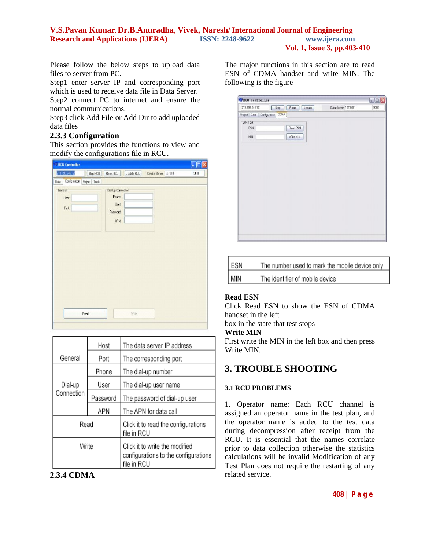**Vol. 1, Issue 3, pp.403-410**

Please follow the below steps to upload data files to server from PC.

Step1 enter server IP and corresponding port which is used to receive data file in Data Server. Step2 connect PC to internet and ensure the normal communications.

Step3 click Add File or Add Dir to add uploaded data files

## **2.3.3 Configuration**

This section provides the functions to view and modify the configurations file in RCU.

|                         |                             |                                                        |            |                         | $\Box$ by |
|-------------------------|-----------------------------|--------------------------------------------------------|------------|-------------------------|-----------|
| 219.193,245.12          | StopROJ                     | Reset ROJ                                              | Update RCU | Central Server 127.0.01 | 9000      |
| Data                    | Configuration Project Tools |                                                        |            |                         |           |
| General<br>Host<br>Pet: |                             | Dial-Up Connection<br>Phone<br>Uset<br>Password<br>APN |            |                         |           |
|                         |                             |                                                        |            |                         |           |

|            | Host     | The data server IP address                                                            |
|------------|----------|---------------------------------------------------------------------------------------|
| General    | Port     | The corresponding port                                                                |
|            | Phone    | The dial-up number                                                                    |
| Dial-up    | User     | The dial-up user name                                                                 |
| Connection | Password | The password of dial-up user                                                          |
|            | APN      | The APN for data call                                                                 |
| Read       |          | Click it to read the configurations<br>file in RCU                                    |
| Write      |          | Click it to write the modified<br>configurations to the configurations<br>file in RCU |

## **2.3.4 CDMA**

The major functions in this section are to read ESN of CDMA handset and write MIN. The following is the figure

| <b>MIRCU Controller</b>         |                                 |                       | $\blacksquare$ $\blacksquare$ $\times$ |
|---------------------------------|---------------------------------|-----------------------|----------------------------------------|
| 219.198.245.12                  | <b>Bank</b><br>Stop  <br>Update | Data Server 127.0.0.1 | 9002                                   |
| Project Data Configuration CDMA |                                 |                       |                                        |
| SIM Tool                        |                                 |                       |                                        |
| ESN                             | <b>Read ESN</b>                 |                       |                                        |
| MN                              | Wike NIN                        |                       |                                        |
|                                 |                                 |                       |                                        |
|                                 |                                 |                       |                                        |
|                                 |                                 |                       |                                        |
|                                 |                                 |                       |                                        |
|                                 |                                 |                       |                                        |
|                                 |                                 |                       |                                        |
|                                 |                                 |                       |                                        |
|                                 |                                 |                       |                                        |
|                                 |                                 |                       |                                        |
|                                 |                                 |                       |                                        |
|                                 |                                 |                       |                                        |
|                                 |                                 |                       |                                        |
|                                 |                                 |                       |                                        |
|                                 |                                 |                       |                                        |
|                                 |                                 |                       |                                        |

| ESN | The number used to mark the mobile device only |
|-----|------------------------------------------------|
| MIN | The identifier of mobile device                |

## **Read ESN**

Click Read ESN to show the ESN of CDMA handset in the left

box in the state that test stops

## **Write MIN**

First write the MIN in the left box and then press Write MIN.

# **3. TROUBLE SHOOTING**

## **3.1 RCU PROBLEMS**

1. Operator name: Each RCU channel is assigned an operator name in the test plan, and the operator name is added to the test data during decompression after receipt from the RCU. It is essential that the names correlate prior to data collection otherwise the statistics calculations will be invalid Modification of any Test Plan does not require the restarting of any related service.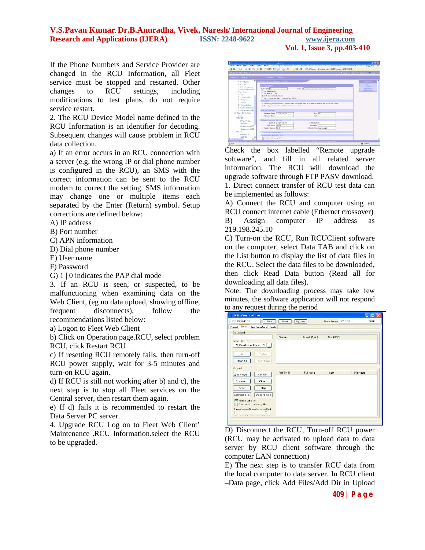**Vol. 1, Issue 3, pp.403-410**

If the Phone Numbers and Service Provider are changed in the RCU Information, all Fleet service must be stopped and restarted. Other changes to RCU settings, including modifications to test plans, do not require service restart.

2. The RCU Device Model name defined in the RCU Information is an identifier for decoding. Subsequent changes will cause problem in RCU data collection.

a) If an error occurs in an RCU connection with a server (e.g. the wrong IP or dial phone number is configured in the RCU), an SMS with the correct information can be sent to the RCU modem to correct the setting. SMS information may change one or multiple items each separated by the Enter (Return) symbol. Setup corrections are defined below:

A) IP address

B) Port number

C) APN information

D) Dial phone number

E) User name

F) Password

G) 1 | 0 indicates the PAP dial mode

3. If an RCU is seen, or suspected, to be malfunctioning when examining data on the Web Client, (eg no data upload, showing offline, frequent disconnects), follow the recommendations listed below:

a) Logon to Fleet Web Client

b) Click on Operation page.RCU, select problem RCU, click Restart RCU

c) If resetting RCU remotely fails, then turn-off RCU power supply, wait for 3-5 minutes and turn-on RCU again.

d) If RCU is still not working after b) and c), the next step is to stop all Fleet services on the Central server, then restart them again.

e) If d) fails it is recommended to restart the Data Server PC server.

4. Upgrade RCU Log on to Fleet Web Client' Maintenance .RCU Information.select the RCU to be upgraded.

| <b>Filot finald.D</b>                                                                                                                                                                                                                                |                                                                                                                                                                                                                                                                                                                                                                                                                                                                                     |                                                                              | <b>Brookly Chairman Marine</b>                                           |
|------------------------------------------------------------------------------------------------------------------------------------------------------------------------------------------------------------------------------------------------------|-------------------------------------------------------------------------------------------------------------------------------------------------------------------------------------------------------------------------------------------------------------------------------------------------------------------------------------------------------------------------------------------------------------------------------------------------------------------------------------|------------------------------------------------------------------------------|--------------------------------------------------------------------------|
|                                                                                                                                                                                                                                                      | Suites Report Committee Committee Mandate                                                                                                                                                                                                                                                                                                                                                                                                                                           |                                                                              |                                                                          |
| ö<br>E PTP fisher<br>E PTP 02<br>Il PTP Vodatorie<br>E 1899 091 1529<br>III Test Ran<br>E dut<br>E to trioble<br>E to solut<br>Scitt <sup>1</sup><br>If the endeforce.<br>IF 1000e 0911529<br>IF 1000e 0911590<br>G. Bouleformation<br>LT1-<br>$=12$ | Fire - No. peters the salary<br><b>SUITAFREE</b><br><b>BOU Manuel T2</b><br>E Test date Hypnitz<br>That while RCU sturt<br>PI Test while connected same<br>Speciment to be plan: in the mobiles of BCU<br><b>STORAGE</b><br>ST Teminizing text plan immediately stud down RIOJ power when all modules in the RIOJ are besk to life mede<br>C: Tax of pour when the modules are back to ide mode:<br>Sanari informations<br><b>Outlaced Same: DES 384 171 101</b><br>Abstrate Series | Send Department for the content of the con-<br><b>Barristo</b><br><b>Bar</b> | CONTINUES.<br>œ<br><b>E</b> province<br><b>ZAI Dimmy</b><br>Detex Device |
| NAFA0183<br>WEEKS<br>Custopre entrol:<br>QuelcommWCE<br>IS LTS<br><b>FARMOTES</b><br>WOMDA                                                                                                                                                           | Gillartski spotoda solbeate<br>Saw # 212 294 171 101<br><b>UnerFlame</b> Jayman<br>Vanjas Nander E-3.23<br>The war incontrol<br>Tast constron based on GPG<br>E Tending while books OPT.                                                                                                                                                                                                                                                                                            | Save Par (2)<br><b>Danvery Free</b><br>Usiarada Pilacingsgrade.cpd           |                                                                          |

Check the box labelled "Remote upgrade software", and fill in all related server information. The RCU will download the upgrade software through FTP PASV download.

1. Direct connect transfer of RCU test data can be implemented as follows:

A) Connect the RCU and computer using an RCU connect internet cable (Ethernet crossover) B) Assign computer IP address as 219.198.245.10

C) Turn-on the RCU, Run RCUClient software on the computer, select Data TAB and click on the List button to display the list of data files in the RCU. Select the data files to be downloaded, then click Read Data button (Read all for downloading all data files).

Note: The downloading process may take few minutes, the software application will not respond to any request during the period

| 219.198.245.12<br>Stop                     | <b>Reset</b> | Update       | <b>Data Server 127.00.1</b> | 9000    |
|--------------------------------------------|--------------|--------------|-----------------------------|---------|
| Project Date<br>Configuration Tools        |              |              |                             |         |
| Download                                   |              |              |                             |         |
|                                            | Filenanie    | Length(Byte) | Time(UTC)                   |         |
| Save Directory:                            |              |              |                             |         |
| E: UyWww.lef-leetSources\E                 |              |              |                             |         |
|                                            |              |              |                             |         |
| Delete<br>List                             |              |              |                             |         |
| Read Data<br>ReadAll                       |              |              |                             |         |
|                                            |              |              |                             |         |
| Upload                                     |              |              |                             |         |
| Add File[s].<br>Add Dir                    | FielDMTI     | Fullmane     | size                        | Message |
| Flemove<br>Clear.                          |              |              |                             |         |
|                                            |              |              |                             |         |
| Send<br>5 <sub>log</sub>                   |              |              |                             |         |
| Connect STS<br>Disconn STS                 |              |              |                             |         |
|                                            |              |              |                             |         |
| Vikinop Buffer<br>Reconnect for every file |              |              |                             |         |
| Slow <-------- Speed ---------->Fast       |              |              |                             |         |
|                                            |              |              |                             |         |
|                                            |              |              |                             |         |

D) Disconnect the RCU, Turn-off RCU power (RCU may be activated to upload data to data server by RCU client software through the computer LAN connection)

E) The next step is to transfer RCU data from the local computer to data server. In RCU client –Data page, click Add Files/Add Dir in Upload